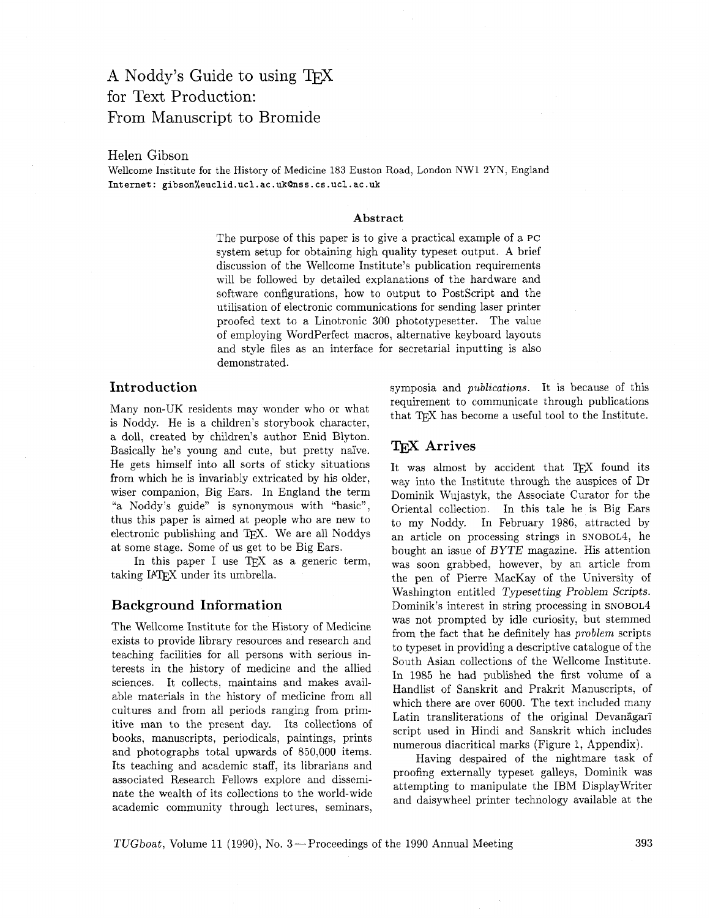# A Noddy's Guide to using TEX for Text Production: From Manuscript to Bromide

### Helen Gibson

Wellcome Institute for the History of Medicine 183 Euston Road, London NW1 **2YN,** England Internet: gibson%euclid.ucl.ac.uk@nss.cs.ucl.ac.uk

#### **Abstract**

The purpose of this paper is to give a practical example of a PC system setup for obtaining high quality typeset output. A brief discussion of the Wellcome Institute's publication requirements will be followed by detailed explanations of the hardware and software configurations, how to output to PostScript and the utilisation of electronic communications for sending laser printer proofed text to a Linotronic 300 phototypesetter. The value of employing WordPerfect macros, alternative keyboard layouts and style files as an interface for secretarial inputting is also demonstrated.

### **Introduction**

Many non-UK residents may wonder who or what is Noddy. He is a children's storybook character, a doll, created by children's author Enid Blyton. Basically he's young and cute, but pretty nai've. He gets himself into all sorts of sticky situations from which he is invariably extricated by his older, wiser companion, Big Ears. In England the term "a Noddy's guide" is synonymous with "basic", thus this paper is aimed at people who are new to electronic publishing and TFX. We are all Noddys at some stage. Some of us get to be Big Ears.

In this paper I use TEX as a generic term, taking IATEX under its umbrella.

### **Background Information**

The Wellcome Institute for the History of Medicine exists to provide library resources and research and teaching facilities for all persons with serious interests in the history of medicine and the allied sciences. It collects, maintains and makes available materials in the history of medicine from all cultures and from all periods ranging from primitive man to the present day. Its collections of books, manuscripts, periodicals, paintings, prints and photographs total upwards of 850,000 items. Its teaching and academic staff, its librarians and associated Research Fellows explore and disseminate the wealth of its collections to the world-wide academic community through lectures, seminars, symposia and *publications.* It is because of this requirement to communicate through publications that TEX has become a useful tool to the Institute.

# **TFX** Arrives

It was almost by accident that TFX found its way into the Institute through the auspices of Dr Dominik Wujastyk, the Associate Curator for the Oriental collection. In this tale he is Big Ears to my Noddy. In February 1986, attracted by an article on processing strings in SNOBOL4, he bought an issue of BYTE magazine. His attention was soon grabbed, however, by an article from the pen of Pierre MacKay of the University of Washington entitled Typesetting Problem Scripts. Dominik's interest in string processing in SNOBOL4 was not prompted by idle curiosity, but stemmed from the fact that he definitely has *problem* scripts to typeset in providing a descriptive catalogue of the South Asian collections of the Wellcome Institute. In 1985 he had published the first volume of a Handlist of Sanskrit and Prakrit Manuscripts, of which there are over 6000. The text included many Latin transliterations of the original Devanagari script used in Hindi and Sanskrit which includes numerous diacritical marks (Figure 1, Appendix).

Having despaired of the nightmare task of proofing externally typeset galleys. Dominik was attempting to manipulate the IBM Displaywriter and daisywheel printer technology available at the

TUGboat, Volume 11 (1990), No. 3 – Proceedings of the 1990 Annual Meeting 393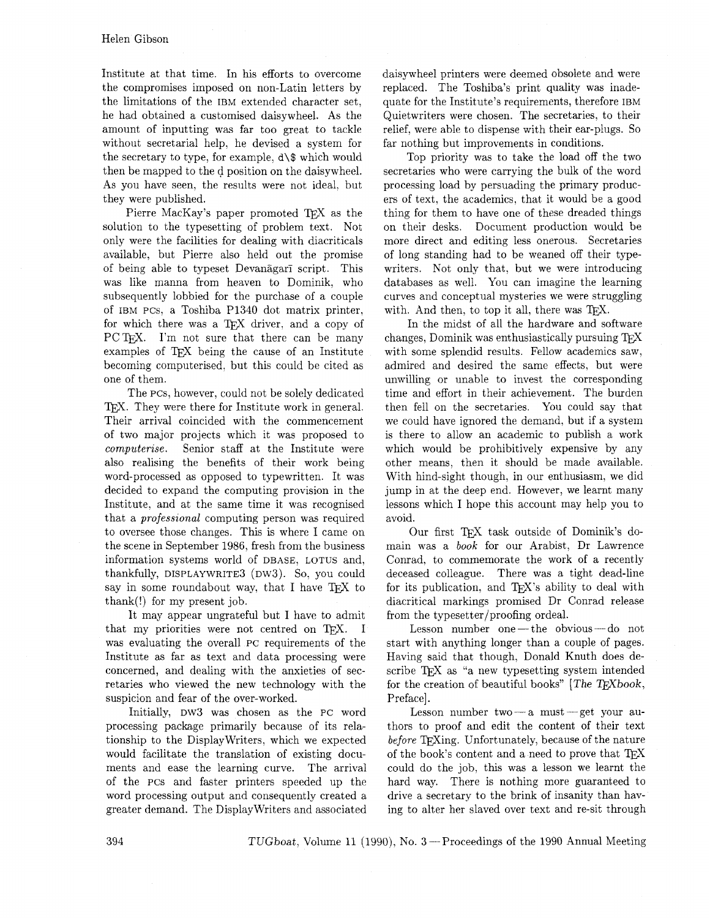Institute at that time. In his efforts to overcome the compromises imposed on non-Latin letters by the limitations of the IBM extended character set, he had obtained a customised daisywheel. As the amount of inputting was far too great to tackle without secretarial help, he devised a system for the secretary to type, for example, **d\\$** which would then be mapped to the d position on the daisywheel. As you have seen, the results were not ideal, but they were published.

Pierre MacKay's paper promoted TFX as the solution to the typesetting of problem text. Not only were the facilities for dealing with diacriticals available, but Pierre also held out the promise of being able to typeset Devanagari script. This was like manna from heaven to Dominik, who subsequently lobbied for the purchase of a couple of IBM PCs, a Toshiba PI340 dot matrix printer, for which there was a TFX driver, and a copy of PC T<sub>F</sub>X. I'm not sure that there can be many examples of TFX being the cause of an Institute becoming computerised, but this could be cited as one of them.

The pcs, however, could not be solely dedicated TFX. They were there for Institute work in general. Their arrival coincided with the commencement of two major projects which it was proposed to *computerise.* Senior staff at the Institute were also realising the benefits of their work being word-processed as opposed to typewritten. It was decided to expand the computing provision in the Institute, and at the same time it was recognised that a *professional* computing person was required to oversee those changes. This is where I came on the scene in September 1986, fresh from the business information systems world of DBASE, LOTUS and, thankfully, DISPLAYWRITE3 (DW3). So, you could say in some roundabout way, that I have  $T_F X$  to thank(!) for my present job.

It may appear ungrateful but I have to admit that my priorities were not centred on TFX. I was evaluating the overall PC requirements of the Institute as far as text and data processing were concerned, and dealing with the anxieties of secretaries who viewed the new technology with the suspicion and fear of the over-worked.

Initially, DW3 was chosen as the PC word processing package primarily because of its relationship to the DisplayWriters, which we expected would facilitate the translation of existing documents and ease the learning curve. The arrival of the PCS and faster printers speeded up the word processing output and consequently created a greater demand. The DisplayWriters and associated

daisywheel printers were deemed obsolete and were replaced. The Toshiba's print quality was inadequate for the Institute's requirements, therefore IBM Quietwriters were chosen. The secretaries, to their relief, were able to dispense with their ear-plugs. So far nothing but improvements in conditions.

Top priority was to take the load off the two secretaries who were carrying the bulk of the word processing load by persuading the primary producers of text, the academics, that it would be a good thing for them to have one of these dreaded things on their desks. Document production would be more direct and editing less onerous. Secretaries of long standing had to be weaned off their typewriters. Not only that. but we were introducing databases as well. You can imagine the learning curves and conceptual mysteries we were struggling with. And then, to top it all, there was  $T\not\!\!F X$ .

In the midst of all the hardware and software changes, Dominik was enthusiastically pursuing with some splendid results. Fellow academics saw, admired and desired the same effects, but were unwilling or unable to invest the corresponding time and effort in their achievement. The burden then fell on the secretaries. You could say that we could have ignored the demand, but if a system is there to allow an academic to publish a work which would be prohibitively expensive by any other means. then it should be made available. With hind-sight though, in our enthusiasm, we did jump in at the deep end. However, we learnt many lessons which I hope this account may help you to avoid.

Our first TFX task outside of Dominik's domain was a *book* for our Arabist, Dr Lawrence Conrad, to commemorate the work of a recently deceased colleague. There was a tight dead-line for its publication, and  $T_F X$ 's ability to deal with diacritical markings promised Dr Conrad release from the typesetter/proofing ordeal.

Lesson number one-the obvious-do not start with anything longer than a couple of pages. Having said that though, Donald Knuth does describe TFX as "a new typesetting system intended for the creation of beautiful books" [The TFXbook, Preface].

Lesson number two $-a$  must  $-$ get your authors to proof and edit the content of their text before T<sub>E</sub>Xing. Unfortunately, because of the nature of the book's content and a need to prove that  $T_F X$ could do the job, this was a lesson we learnt the hard way. There is nothing more guaranteed to drive a secretary to the brink of insanity than having to alter her slaved over text and re-sit through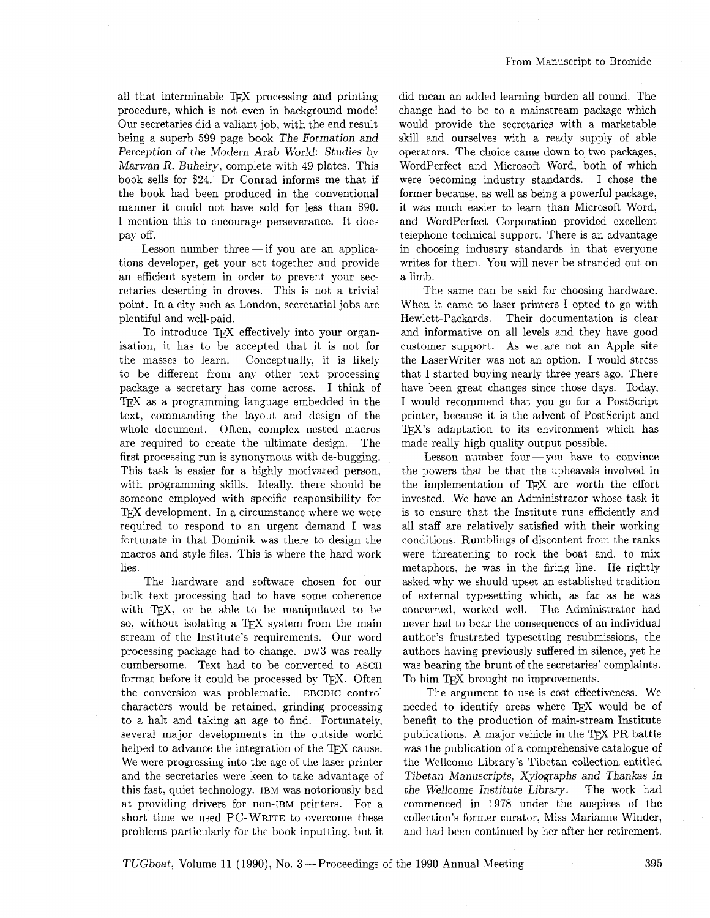all that interminable TEX processing and printing procedure, which is not even in background mode! Our secretaries did a valiant job, with the end result being a superb 599 page book The Formation and Perception of the Modern Arab World: Studies by Marwan R. Buheiry, complete with 49 plates. This book sells for \$24. Dr Conrad informs me that if the book had been produced in the conventional manner it could not have sold for less than \$90. I mention this to encourage perseverance. It does pay off.

Lesson number three $-$ if you are an applications developer. get your act together and provide an efficient system in order to prevent your secretaries deserting in droves. This is not a trivial point. In a city such as London, secretarial jobs are plentiful and well-paid.

To introduce TFX effectively into your organisation, it has to be accepted that it is not for the masses to learn. Conceptually, it is likely to be different from any other text processing package a secretary has come across. I think of TEX as a programming language embedded in the text, commanding the layout and design of the whole document. Often, complex nested macros are required to create the ultimate design. The first processing run is synonymous with de-bugging. This task is easier for a highly motivated person. with programming skills. Ideally, there should be someone employed with specific responsibility for TFX development. In a circumstance where we were required to respond to an urgent demand I was fortunate in that Dominik was there to design the macros and style files. This is where the hard work lies.

The hardware and software chosen for our bulk text processing had to have some coherence with TEX, or be able to be manipulated to be so, without isolating a TEX system from the main stream of the Institute's requirements. Our word processing package had to change. DW3 was really cumbersome. Text had to be converted to ASCII format before it could be processed by  $T_F X$ . Often the conversion was problematic. EBCDIC control characters would be retained, grinding processing to a halt and taking an age to find. Fortunately, several major developments in the outside world helped to advance the integration of the TFX cause. We were progressing into the age of the laser printer and the secretaries were keen to take advantage of this fast, quiet technology. IBM was notoriously bad at providing drivers for non-IBM printers. For a short time we used PC-WRITE to overcome these problems particularly for the book inputting, but it did mean an added learning burden all round. The change had to be to a mainstream package which would provide the secretaries with a marketable skill and ourselves with a ready supply of able operators. The choice came down to two packages, WordPerfect and Microsoft Word, both of which were becoming industry standards. I chose the former because. as well as being a powerful package, it was much easier to learn than Microsoft Word, and WordPerfect Corporation provided excellent telephone technical support. There is an advantage in choosing industry standards in that everyone writes for them. You will never be stranded out on a limb.

The same can be said for choosing hardware. When it came to laser printers I opted to go with Hewlett-Packards. Their documentation is clear and informative on all levels and they have good customer support. As we are not an Apple site the Laserwriter was not an option. I would stress that I started buying nearly three years ago. There have been great changes since those days. Today, I would recommend that you go for a PostScript printer, because it is the advent of PostScript and TFX's adaptation to its environment which has made really high quality output possible.

Lesson number four  $-\text{you}$  have to convince the powers that be that the upheavals involved in the implementation of QX are worth the effort invested. We have an Administrator whose task it is to ensure that the Institute runs efficiently and all staff are relatively satisfied with their working conditions. Rumblings of discontent from the ranks were threatening to rock the boat and, to mix metaphors. he was in the firing line. He rightly asked why we should upset an established tradition of external typesetting which, as far as he was concerned, worked well. The Administrator had never had to bear the consequences of an individual author's frustrated typesetting resubmissions, the authors having previously suffered in silence, yet he was bearing the brunt of the secretaries' complaints. To him TFX brought no improvements.

The argument to use is cost effectiveness. We needed to identify areas where TFX would be of benefit to the production of main-stream Institute publications. A major vehicle in the TEX PR battle was the publication of a comprehensive catalogue of the Wellcome Library's Tibetan collection entitled Tibetan Manuscripts, Xylographs and Thankas in the Wellcome Institute Library. The work had commenced in 1978 under the auspices of the collection's former curator, Miss Marianne Winder, and had been continued by her after her retirement.

TUGboat, Volume 11 (1990), No. 3 – Proceedings of the 1990 Annual Meeting 395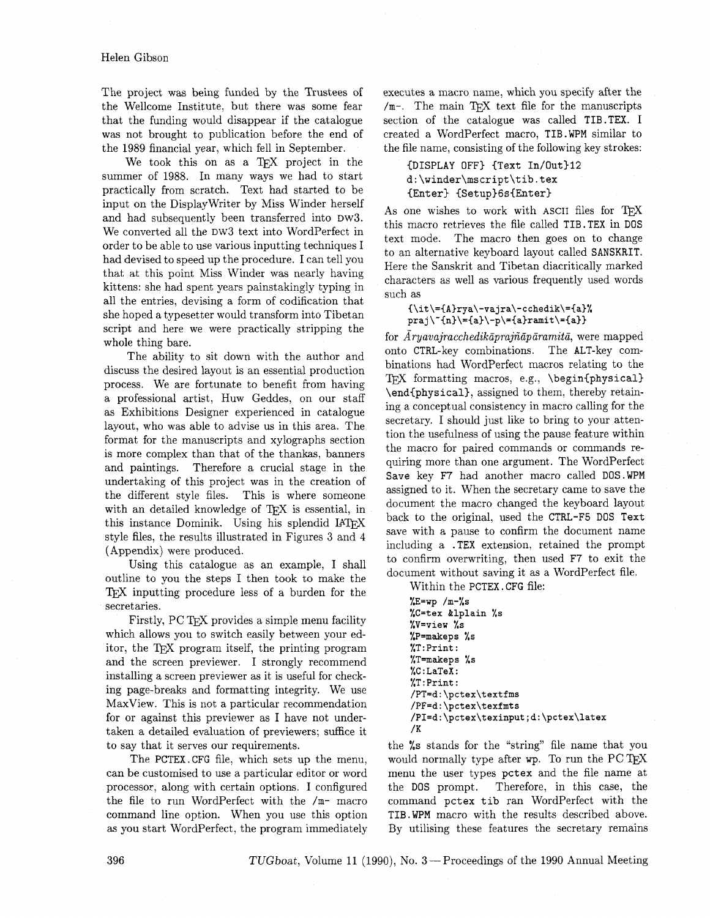The project was being funded by the Trustees of the Wellcome Institute, but there was some fear that the funding would disappear if the catalogue was not brought to publication before the end of the 1989 financial year, which fell in September.

We took this on as a TFX project in the summer of 1988. In many ways we had to start practically from scratch. Text had started to be input on the Displaywriter by Miss Winder herself and had subsequently been transferred into DW3. We converted all the DW3 text into WordPerfect in order to be able to use various inputting techniques I had devised to speed up the procedure. I can tell you that at this point Miss Winder was nearly having kittens: she had spent years painstakingly typing in all the entries, devising a form of codification that she hoped a typesetter would transform into Tibetan script and here we were practically stripping the whole thing bare.

The ability to sit down with the author and discuss the desired layout is an essential production process. We are fortunate to benefit from having a professional artist, Huw Geddes, on our staff as Exhibitions Designer experienced in catalogue layout, who was able to advise us in this area. The format for the manuscripts and xylographs section is more complex than that of the thankas, banners and paintings. Therefore a crucial stage in the undertaking of this project was in the creation of the different style files. This is where someone with an detailed knowledge of TEX is essential, in this instance Dominik. Using his splendid style files, the results illustrated in Figures 3 and 4 (Appendix) were produced.

Using this catalogue as an example, I shall outline to you the steps I then took to make the TEX inputting procedure less of a burden for the secretaries.

Firstly, PC TFX provides a simple menu facility which allows you to switch easily between your editor, the TEX program itself, the printing program and the screen previewer. I strongly recommend installing a screen previewer as it is useful for checking page-breaks and formatting integrity. We use MaxView. This is not a particular recommendation for or against this previewer as I have not undertaken a detailed evaluation of previewers; suffice it to say that it serves our requirements.

The PCTEX.CFG file, which sets up the menu, can be customised to use a particular editor or word processor, along with certain options. I configured the file to run WordPerfect with the /m- macro command line option. When you use this option as you start WordPerfect, the program immediately executes a macro name, which you specify after the  $/m$ -. The main T<sub>EX</sub> text file for the manuscripts section of the catalogue was called TIB.TEX. I created a WordPerfect macro, TIB.WPM similar to the file name, consisting of the following key strokes:

{DISPLAY OFF3 (Text In/Out>I2 **d:\winder\rnscript\tib.tex**  {Enter} {Setup}6s{Enter}

As one wishes to work with ASCII files for TEX this macro retrieves the file called TIB. TEX in DOS text mode. The macro then goes on to change to an alternative keyboard layout called SANSKRIT. Here the Sanskrit and Tibetan diacritically marked characters as well as various frequently used words such as

```
{\tilde{\lambda}}={A\}rya\-\nvarphi\-cchedik={a}praj\"{n}\={a}\-p\={a}ramit\={a}}
```
for *Aryavajracchedikāprajñāpāramitā*, were mapped onto CTRL-key combinations. The ALT-key combinations had WordPerfect macros relating to the TEX formatting macros, e.g., \begin{physical} \end(physical), assigned to them, thereby retaining a conceptual consistency in macro calling for the secretary. I should just like to bring to your attention the usefulness of using the pause feature within the macro for paired commands or commands requiring more than one argument. The WordPerfect Save key F7 had another macro called DOS.WPM assigned to it. When the secretary came to save the document the macro changed the keyboard layout back to the original, used the CTRL-F5 DOS Text save with a pause to confirm the document name including a .TEX extension, retained the prompt to confirm overwriting, then used F7 to exit the document without saving it as a WordPerfect file.

Within the PCTEX . CFG file:

```
%E=wp /m-%s 
%C=tex tlplain %s 
%V=view %s 
%P=makeps %s 
%T:Print : 
%T=makeps %s 
%C : LaTeX : 
%T :Print : 
/PT=d:\pctex\textfms 
/PF=d : \pctex\texf mts 
/PI=d:\pctex\texinput;d:\pctex\latex 
/K
```
the %s stands for the "string" file name that you would normally type after **wp.** To run the PC menu the user types pctex and the file name at the DOS prompt. Therefore, in this case, the command pctex tib ran WordPerfect with the TIB.WPM macro with the results described above. By utilising these features the secretary remains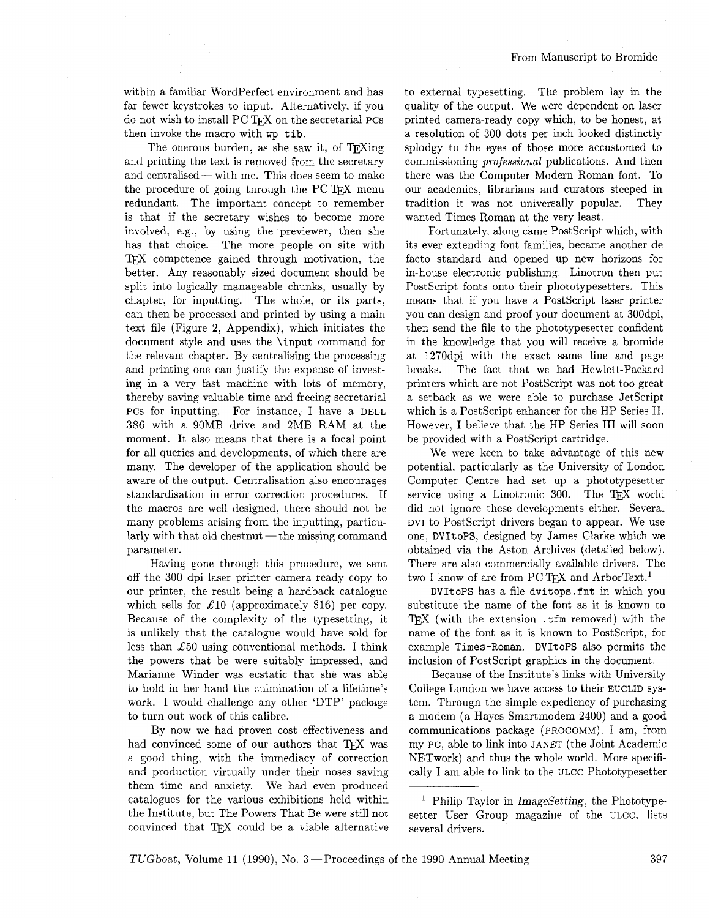within a familiar WordPerfect environment and has far fewer keystrokes to input. Alternatively, if you do not wish to install PC TFX on the secretarial PCs then invoke the macro with **wp tib.** 

The onerous burden, as she saw it, of T<sub>E</sub>Xing and printing the text is removed from the secretary and centralised- with me. This does seem to make the procedure of going through the PCT<sub>F</sub>X menu redundant. The important concept to remember is that if the secretary wishes to become more involved, e.g., by using the previewer, then she has that choice. The more people on site with TEX competence gained through motivation, the better. Any reasonably sized document should be split into logically manageable chunks, usually by chapter, for inputting. The whole, or its parts, can then be processed and printed by using a main text file (Figure 2, Appendix), which initiates the document style and uses the \input command for the relevant chapter. By centralising the processing and printing one can justify the expense of investing in a very fast machine with lots of memory, thereby saving valuable time and freeing secretarial PCS for inputting. For instance, I have a DELL 386 with a 90MB drive and 2MB RAM at the moment. It also means that there is a focal point for all queries and developments, of which there are many. The developer of the application should be aware of the output. Centralisation also encourages standardisation in error correction procedures. If the macros are well designed, there should not be many problems arising from the inputting, particularly with that old chestnut - the missing command parameter.

Having gone through this procedure, we sent off the 300 dpi laser printer camera ready copy to our printer, the result being a hardback catalogue which sells for  $\pounds 10$  (approximately \$16) per copy. Because of the complexity of the typesetting, it is unlikely that the catalogue would have sold for less than  $£50$  using conventional methods. I think the powers that be were suitably impressed, and Marianne Winder was ecstatic that she was able to hold in her hand the culmination of a lifetime's work. I would challenge any other 'DTP' package to turn out work of this calibre.

By now we had proven cost effectiveness and had convinced some of our authors that TFX was a good thing, with the immediacy of correction and production virtually under their noses saving them time and anxiety. We had even produced catalogues for the various exhibitions held within the Institute, but The Powers That Be were still not convinced that TEX could be a viable alternative to external typesetting. The problem lay in the quality of the output. We were dependent on laser printed camera-ready copy which, to be honest, at a resolution of 300 dots per inch looked distinctly splodgy to the eyes of those more accustomed to commissioning professional publications. And then there was the Computer Modern Roman font. To our academics. librarians and curators steeped in tradition it was not universally popular. They wanted Times Roman at the very least.

Fortunately, along came PostScript which, with its ever extending font families, became another de facto standard and opened up new horizons for in-house electronic publishing. Linotron then put PostScript fonts onto their phototypesetters. This means that if you have a PostScript laser printer you can design and proof your document at 300dpi, then send the file to the phototypesetter confident in the knowledge that you will receive a bromide at 1270dpi with the exact same line and page breaks. The fact that we had Hewlett-Packard printers which are not PostScript was not too great a setback as we were able to purchase JetScript which is a PostScript enhancer for the HP Series II. However, I believe that the HP Series I11 will soon be provided with a PostScript cartridge.

We were keen to take advantage of this new potential, particularly as the University of London Computer Centre had set up a phototypesetter service using a Linotronic 300. The TFX world did not ignore these developments either. Several DVI to PostScript drivers began to appear. We use one, DVItoPS, designed by James Clarke which we obtained via the Aston Archives (detailed below). There are also commercially available drivers. The two I know of are from PC TEX and ArborText.<sup>1</sup>

DVItoPS has a file dvitops .fnt in which you substitute the name of the font as it is known to TEX (with the extension  $.tf m$  removed) with the name of the font as it is known to PostScript, for example Times -Roman. DVIt oPS also permits the inclusion of PostScript graphics in the document.

Because of the Institute's links with University College London we have access to their EUCLID system. Through the simple expediency of purchasing a modem (a Hayes Smartmodem 2400) and a good communications package (PROCOMM), I am, from my PC, able to link into JANET (the Joint Academic NETwork) and thus the whole world. More specifically I am able to link to the ULCC Phototypesetter

<sup>1</sup> Philip Taylor in ImageSetting, the Phototypesetter User Group magazine of the ULCC, lists several drivers.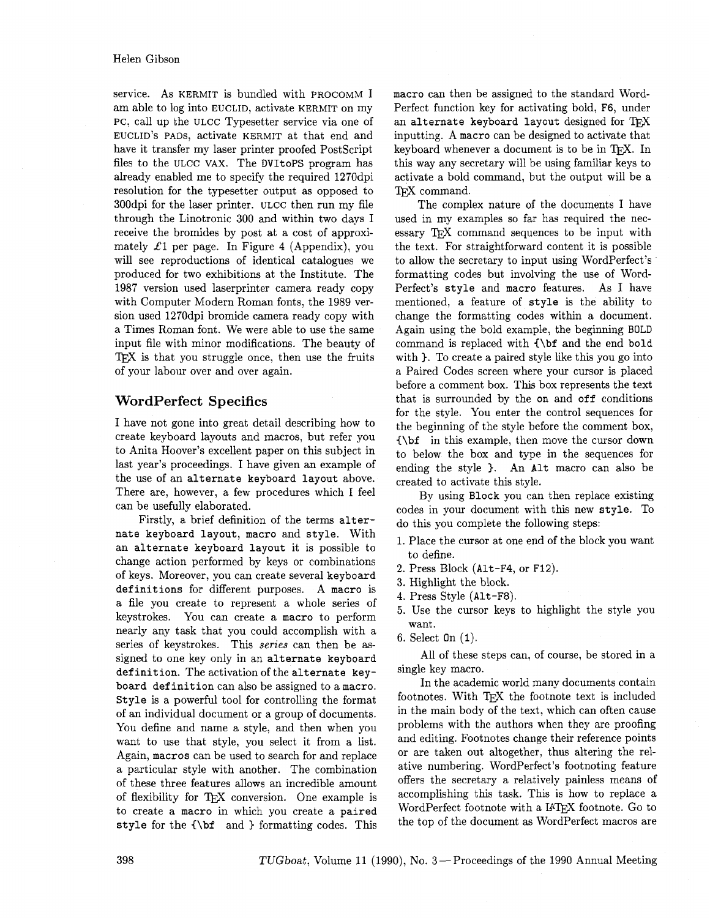service. As KERMIT is bundled with PROCOMM I am able to log into EUCLID, activate KERMIT on my PC, call up the ULCC Typesetter service via one of EUCLID'S PADS, activate KERMIT at that end and have it transfer my laser printer proofed PostScript files to the ULCC VAX. The DVItoPS program has already enabled me to specify the required 1270dpi resolution for the typesetter output **as** opposed to 300dpi for the laser printer. ULCC then run my file through the Linotronic 300 and within two days I receive the bromides by post at a cost of approximately  $\mathcal{L}1$  per page. In Figure 4 (Appendix), you will see reproductions of identical catalogues we produced for two exhibitions at the Institute. The 1987 version used laserprinter camera ready copy with Computer Modern Roman fonts, the 1989 version used 1270dpi bromide camera ready copy with a Times Roman font. We were able to use the same input file with minor modifications. The beauty of TFX is that you struggle once, then use the fruits of your labour over and over again.

# **WordPerfect Specifics**

I have not gone into great detail describing how to create keyboard layouts and macros, but refer you to Anita Hoover's excellent paper on this subject in last year's proceedings. I have given an example of the use of an alternate keyboard layout above. There are, however, a few procedures which I feel can be usefully elaborated.

Firstly, a brief definition of the terms alternate keyboard layout, macro and style. With an alternate keyboard layout it is possible to change action performed by keys or combinations of keys. Moreover, you can create several keyboard definitions for different purposes. A macro is a file you create to represent a whole series of keystrokes. You can create a macro to perform nearly any task that you could accomplish with a series of keystrokes. This **series** can then be **as**signed to one key only in an alternate keyboard definition. The activation of the alternate keyboard definition can also be assigned to a macro. Style is a powerful tool for controlling the format of an individual document or a group of documents. You define and name a style, and then when you want to use that style, you select it from a list. Again, macros can be used to search for and replace a particular style with another. The combination of these three features allows an incredible amount of flexibility for TEX conversion. One example is to create a macro in which you create a paired style for the  $\{\bf bf \}$  and } formatting codes. This macro can then be assigned to the standard Word-Perfect function key for activating bold, F6, under an alternate keyboard layout designed for  $T_{F}X$ inputting. A macro can be designed to activate that keyboard whenever a document is to be in TFX. In this way any secretary will be using familiar keys to activate a bold command, but the output will be a T<sub>F</sub>X command.

The complex nature of the documents I have used in my examples so far has required the necessary TFX command sequences to be input with the text. For straightforward content it is possible to allow the secretary to input using WordPerfect's formatting codes but involving the use of Word-Perfect's style and macro features. As I have mentioned, a feature of style is the ability to change the formatting codes within a document. Again using the bold example, the beginning BOLD command is replaced with C\bf and the end bold with ). To create a paired style like this you go into a Paired Codes screen where your cursor is placed before a comment box. This box represents the text that is surrounded by the on and off conditions for the style. You enter the control sequences for the beginning of the style before the comment box, {\bf in this example, then move the cursor down to below the box and type in the sequences for ending the style ). An Alt macro can also be created to activate this style.

By using Block you can then replace existing codes in your document with this new style. To do this you complete the following steps:

- 1. Place the cursor at one end of the block you want to define.
- **2.** Press Block (Alt-F4, or F12).
- **3.** Highlight the block.
- 4. Press Style (Alt-F8).
- **5.** Use the cursor keys to highlight the style you want.
- 6. Select On **(1).**

All of these steps can, of course, be stored in a single key macro.

In the academic world many documents contain footnotes. With TFX the footnote text is included in the main body of the text, which can often cause problems with the authors when they are proofing and editing. Footnotes change their reference points or are taken out altogether, thus altering the relative numbering. WordPerfect's footnoting feature offers the secretary a relatively painless means of accomplishing this task. This is how to replace a WordPerfect footnote with a IATFX footnote. Go to the top of the document as WordPerfect macros are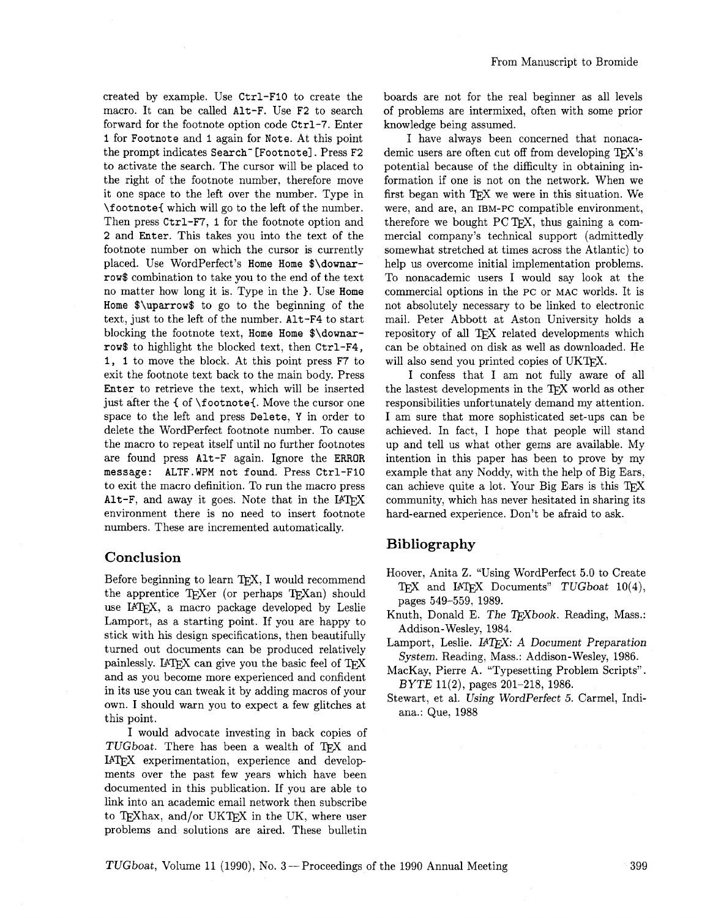From Manuscript to Bromide

created by example. Use Ctrl-F1O to create the macro. It can be called Alt-F. Use F2 to search forward for the footnote option code Ctrl-7. Enter 1 for Footnote and 1 again for Note. At this point the prompt indicates Search'[Footnote]. Press F2 to activate the search. The cursor will be placed to the right of the footnote number, therefore move it one space to the left over the number. Type in \footnote( which will go to the left of the number. Then press Ctrl-F7, 1 for the footnote option and 2 and Enter. This takes you into the text of the footnote number on which the cursor is currently placed. Use WordPerfect's Home Home \$\downarrow\$ combination to take you to the end of the text no matter how long it is. Type in the  $\}$ . Use Home Home \$\uparrow\$ to go to the beginning of the text, just to the left of the number. Alt-F4 to start blocking the footnote text, Home Home \$\downarrow\$ to highlight the blocked text, then Ctrl-F4, 1, 1 to move the block. At this point press F7 to exit the footnote text back to the main body. Press Enter to retrieve the text, which will be inserted just after the { of \footnote{. Move the cursor one space to the left and press Delete, Y in order to delete the WordPerfect footnote number. To cause the macro to repeat itself until no further footnotes are found press Alt-F again. Ignore the ERROR message : ALTF. **WPM** not found. Press Ctrl-F10 to exit the macro definition. To run the macro press Alt-F, and away it goes. Note that in the  $IATFX$ environment there is no need to insert footnote numbers. These are incremented automatically.

### **Conclusion**

Before beginning to learn TEX, I would recommend the apprentice TEXer (or perhaps TEXan) should use IATFX, a macro package developed by Leslie Lamport, as a starting point. If you are happy to stick with his design specifications, then beautifully turned out documents can be produced relatively painlessly. IATEX can give you the basic feel of TEX and as you become more experienced and confident in its use you can tweak it by adding macros of your own. I should warn you to expect a few glitches at this point.

I would advocate investing in back copies of TUGboat. There has been a wealth of TFX and IATFX experimentation, experience and developments over the past few years which have been documented in this publication. If you are able to link into an academic email network then subscribe to TEXhax, and/or UKTEX in the UK, where user problems and solutions are aired. These bulletin

boards are not for the real beginner as all levels of problems are intermixed, often with some prior knowledge being assumed.

I have always been concerned that nonacademic users are often cut off from developing  $T\not\vdash X$ 's potential because of the difficulty in obtaining information if one is not on the network. When we first began with TFX we were in this situation. We were, and are, an IBM-PC compatible environment, therefore we bought  $PCTFX$ , thus gaining a commercial company's technical support (admittedly somewhat stretched at times across the Atlantic) to help us overcome initial implementation problems. To nonacademic users I would say look at the commercial options in the PC or MAC worlds. It is not absolutely necessary to be linked to electronic mail. Peter Abbott at Aston University holds a repository of all TFX related developments which can be obtained on disk as well as downloaded. He will also send you printed copies of UKTFX.

I confess that I am not fully aware of all the lastest developments in the QX world as other responsibilities unfortunately demand my attention. I am sure that more sophisticated set-ups can be achieved. In fact, I hope that people will stand up and tell us what other gems are available. My intention in this paper has been to prove by my example that any Noddy, with the help of Big Ears, can achieve quite a lot. Your Big Ears is this  $T_F X$ community, which has never hesitated in sharing its hard-earned experience. Don't be afraid to ask.

# **Bibliography**

- Hoover, Anita Z. "Using WordPerfect 5.0 to Create TEX and IATEX Documents" TUGboat 10(4), pages 549-559, 1989.
- Knuth, Donald E. The T<sub>F</sub>Xbook. Reading, Mass.: Addison-Wesley, 1984.
- Lamport, Leslie. IATEX: A Document Preparation System. Reading, Mass.: Addison-Wesley, 1986.
- MacKay, Pierre A. "Typesetting Problem Scripts". BYTE 11(2), pages 201-218, 1986.
- Stewart, et al. Using WordPerfect 5. Carmel, Indiana.: Que, 1988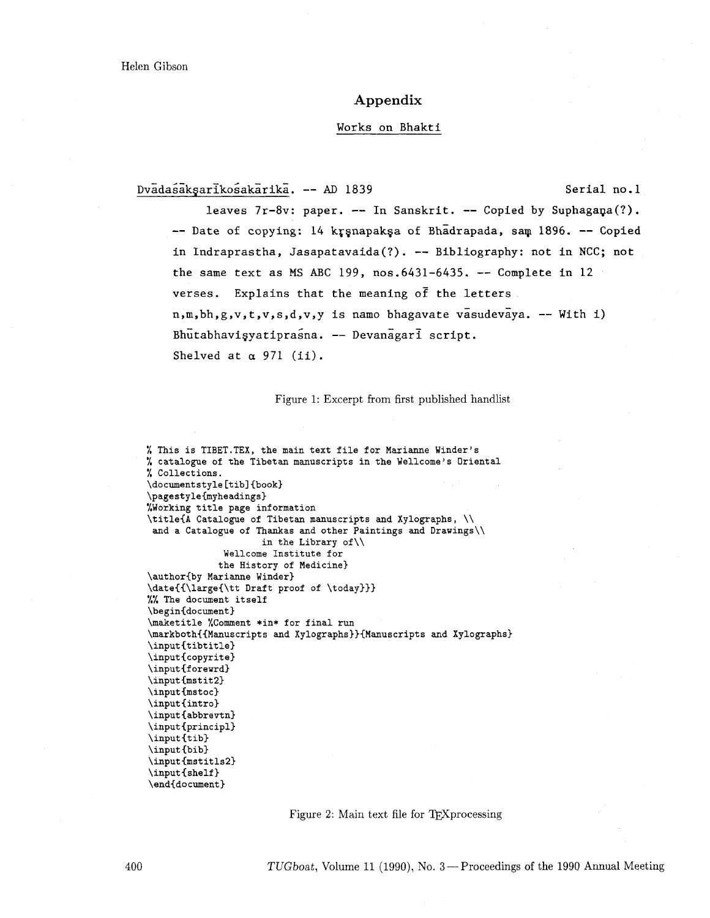### **Appendix**

#### Works on Bhakti

Dvadasakşarikosakarika. -- AD 1839 Serial no.1

leaves 7r-8v: paper. -- In Sanskrit. -- Copied by Suphagana(?). -- Date of copying: 14 krsnapaksa of Bhadrapada, sam 1896. -- Copied in Indraprastha, Jasapatavaida(?). -- Bibliography: not in NCC; not the same text as MS ABC 199,  $nos.6431-6435$ . -- Complete in 12 verses. Explains that the meaning  $\sigma$   $\bar{f}$  the letters.  $n, m, bh, g, v, t, v, s, d, v, y$  is namo bhagavate vasudevaya. -- With i) Bhutabhavisyatiprasna. -- Devanagari script. Shelved at  $\alpha$  971 (ii).

Figure 1: Excerpt from first published handlist

```
% This is TIBET.TEX, the main text file for Marianne Winder's 
% catalogue of the Tibetan manuscripts in the Wellcome's Oriental 
% Collections. 
\document style [tib] {book) 
\pagestyle{myheadings) 
%Working title page information 
\title{A Catalogue of Tibetan manuscripts and Xylographs, \\ 
 and a Catalogue of Thankas and other Paintings and Drawings\\ 
                     in the Library of\\ 
              Wellcome Institute for 
             the History of Medicine) 
\author{by Marianne Winder) 
\date{{\large{\tt Draft proof of \today))) 
%% The document itself 
\begin{document} 
\maketitle %Comment *in* for final run 
\markboth{{Manuscripts and Xylographs)){Manuscripts and Xylographs) 
\input{tibtitle) 
\input{copyrite) 
\input{forewrd}
\input{mstit2}
\input{mstoc}
\ininput {intro}
\input{abbrevtn) 
\input{principl) 
\int_{tib}\input {bib) 
\input{mstitls2) 
\input{shelf}
\end{document)
```
Figure 2: Main text file for TFXprocessing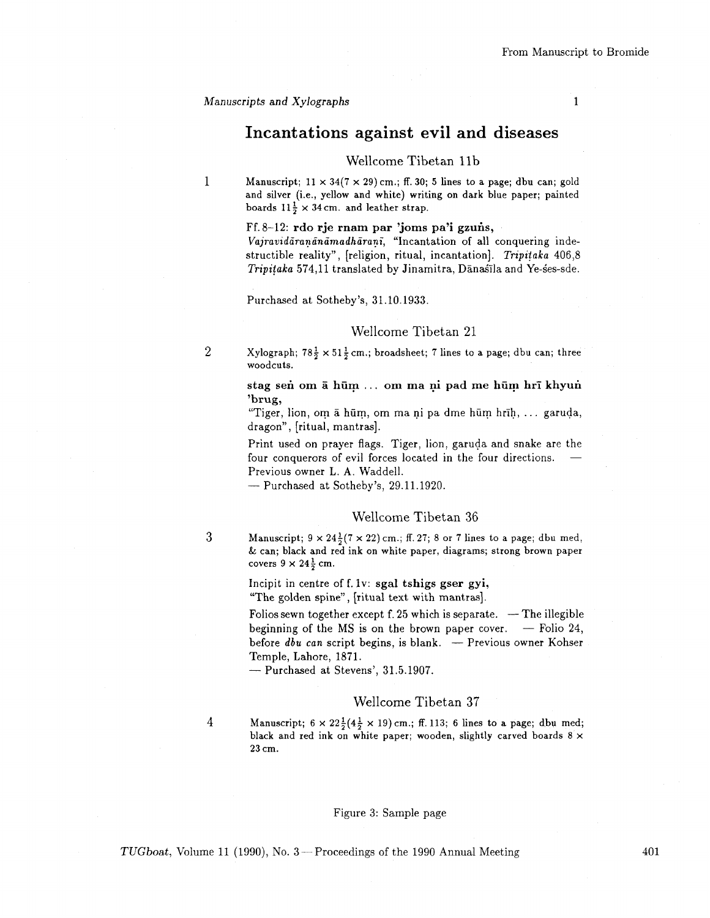1

# Incantations against evil and diseases

### Wellcome Tibetan 11b

1 Manuscript;  $11 \times 34(7 \times 29)$  cm.; ff. 30; 5 lines to a page; dbu can; gold and silver (i.e., yellow and white) writing on dark blue paper; painted boards  $11\frac{1}{2} \times 34$  cm. and leather strap.

#### $Ff. 8-12$ : rdo rje rnam par 'joms pa'i gzuns,

*Vajravidiraninamadharanz;* "Incantation of all conquering indestructible reality", [religion, ritual, incantation]. *Tripitaka* 406,8 *Tripitaka* 574,11 translated by Jinamitra, Dānasīla and Ye-ses-sde.

Purchased at Sotheby's, 31.10.1933.

### Wellcome Tibetan 21

2 Xylograph;  $78\frac{1}{2} \times 51\frac{1}{2}$  cm.; broadsheet; 7 lines to a page; dbu can; three woodcuts.

### stag sen om ā hūm ... om ma ni pad me hūm hrī khyun 'brug,

"Tiger, lion, om  $\bar{a}$  hūm, om ma ni pa dme hūm hrīh, ... garuda, dragon", [ritual, mantras].

Print used on prayer flags. Tiger, lion, garuda and snake are the for the contract of evil forces located in the four directions. -<br>four conquerors of evil forces located in the four directions. -Previous owner L. **A.** Waddell. four conquerors of evil forces located in the four directions.<br>Previous owner L. A. Waddell.<br>— Purchased at Sotheby's, 29.11.1920.

### Wellcome Tibetan 36

3

 $\overline{4}$ 

Manuscript;  $9 \times 24\frac{1}{2}(7 \times 22)$  cm.; ff. 27; 8 or 7 lines to a page; dbu med, & can; black and red ink on white paper, diagrams; strong brown paper covers  $9 \times 24\frac{1}{2}$  cm.

Incipit in centre of  $f. 1v$ : sgal tshigs gser gyi, "The golden spine", [ritual text with mantras].

Folios sewn together except  $f. 25$  which is separate.  $-$  The illegible Folios sewn together except  $f$ . 25 which is separate.  $-$  The illegible<br>beginning of the MS is on the brown paper cover.  $-$  Folio 24, Follos sewn together except 1.25 which is separate. -- The hiegible<br>beginning of the MS is on the brown paper cover. -- Folio 24,<br>before *dbu can* script begins, is blank. -- Previous owner Kohser Temple, Lahore, 1871. before *dbu can* script begins, is blank. — Previous owner Kohser Temple, Lahore, 1871. — Purchased at Stevens', 31.5.1907.

### Wellcome Tibetan 37

Manuscript;  $6 \times 22\frac{1}{2}(4\frac{1}{2} \times 19)$  cm.; ff. 113; 6 lines to a page; dbu med; black and red ink on white paper; wooden, slightly carved boards 8 **x**  23 cm.

#### Figure 3: Sample page

*TUGboat, Volume 11 (1990), No.* 3 – Proceedings of the 1990 Annual Meeting